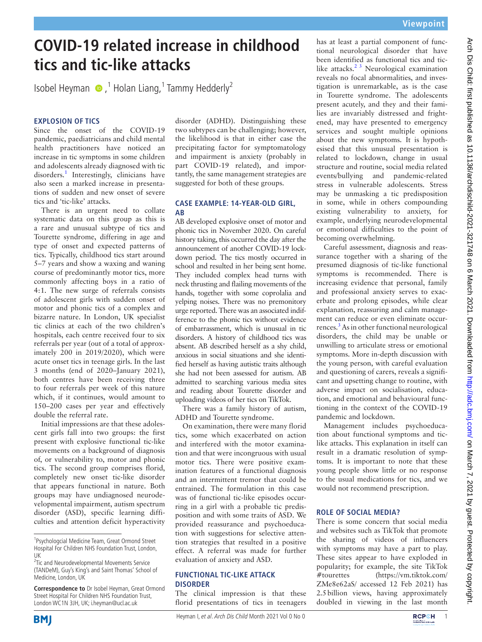# **COVID-19 related increase in childhood tics and tic-like attacks**

IsobelHeyman  $\bigcirc$ , <sup>1</sup> Holan Liang, <sup>1</sup> Tammy Hedderly<sup>2</sup>

# **EXPLOSION OF TICS**

Since the onset of the COVID-19 pandemic, paediatricians and child mental health practitioners have noticed an increase in tic symptoms in some children and adolescents already diagnosed with tic disorders.<sup>[1](#page-1-0)</sup> Interestingly, clinicians have also seen a marked increase in presentations of sudden and new onset of severe tics and 'tic-like' attacks.

There is an urgent need to collate systematic data on this group as this is a rare and unusual subtype of tics and Tourette syndrome, differing in age and type of onset and expected patterns of tics. Typically, childhood tics start around 5–7 years and show a waxing and waning course of predominantly motor tics, more commonly affecting boys in a ratio of 4:1. The new surge of referrals consists of adolescent girls with sudden onset of motor and phonic tics of a complex and bizarre nature. In London, UK specialist tic clinics at each of the two children's hospitals, each centre received four to six referrals per year (out of a total of approximately 200 in 2019/2020), which were acute onset tics in teenage girls. In the last 3 months (end of 2020–January 2021), both centres have been receiving three to four referrals per week of this nature which, if it continues, would amount to 150–200 cases per year and effectively double the referral rate.

Initial impressions are that these adolescent girls fall into two groups: the first present with explosive functional tic-like movements on a background of diagnosis of, or vulnerability to, motor and phonic tics. The second group comprises florid, completely new onset tic-like disorder that appears functional in nature. Both groups may have undiagnosed neurodevelopmental impairment, autism spectrum disorder (ASD), specific learning difficulties and attention deficit hyperactivity

**Correspondence to** Dr Isobel Heyman, Great Ormond Street Hospital For Children NHS Foundation Trust, London WC1N 3JH, UK; i.heyman@ucl.ac.uk

**BMI** 

disorder (ADHD). Distinguishing these two subtypes can be challenging; however, the likelihood is that in either case the precipitating factor for symptomatology and impairment is anxiety (probably in part COVID-19 related), and importantly, the same management strategies are suggested for both of these groups.

### **CASE EXAMPLE: 14-YEAR-OLD GIRL, AB**

AB developed explosive onset of motor and phonic tics in November 2020. On careful history taking, this occurred the day after the announcement of another COVID-19 lockdown period. The tics mostly occurred in school and resulted in her being sent home. They included complex head turns with neck thrusting and flailing movements of the hands, together with some coprolalia and yelping noises. There was no premonitory urge reported. There was an associated indifference to the phonic tics without evidence of embarrassment, which is unusual in tic disorders. A history of childhood tics was absent. AB described herself as a shy child, anxious in social situations and she identified herself as having autistic traits although she had not been assessed for autism. AB admitted to searching various media sites and reading about Tourette disorder and uploading videos of her tics on TikTok.

There was a family history of autism, ADHD and Tourette syndrome.

On examination, there were many florid tics, some which exacerbated on action and interfered with the motor examination and that were incongruous with usual motor tics. There were positive examination features of a functional diagnosis and an intermittent tremor that could be entrained. The formulation in this case was of functional tic-like episodes occurring in a girl with a probable tic predisposition and with some traits of ASD. We provided reassurance and psychoeducation with suggestions for selective attention strategies that resulted in a positive effect. A referral was made for further evaluation of anxiety and ASD.

## **FUNCTIONAL TIC-LIKE ATTACK DISORDER**

The clinical impression is that these florid presentations of tics in teenagers has at least a partial component of functional neurological disorder that have been identified as functional tics and ticlike attacks.<sup>2 3</sup> Neurological examination reveals no focal abnormalities, and investigation is unremarkable, as is the case in Tourette syndrome. The adolescents present acutely, and they and their families are invariably distressed and frightened, may have presented to emergency services and sought multiple opinions about the new symptoms. It is hypothesised that this unusual presentation is related to lockdown, change in usual structure and routine, social media related events/bullying and pandemic-related stress in vulnerable adolescents. Stress may be unmasking a tic predisposition in some, while in others compounding existing vulnerability to anxiety, for example, underlying neurodevelopmental or emotional difficulties to the point of becoming overwhelming.

Careful assessment, diagnosis and reassurance together with a sharing of the presumed diagnosis of tic-like functional symptoms is recommended. There is increasing evidence that personal, family and professional anxiety serves to exacerbate and prolong episodes, while clear explanation, reassuring and calm management can reduce or even eliminate occur-rences.<sup>[3](#page-1-2)</sup> As in other functional neurological disorders, the child may be unable or unwilling to articulate stress or emotional symptoms. More in-depth discussion with the young person, with careful evaluation and questioning of carers, reveals a significant and upsetting change to routine, with adverse impact on socialisation, education, and emotional and behavioural functioning in the context of the COVID-19 pandemic and lockdown.

Management includes psychoeducation about functional symptoms and ticlike attacks. This explanation in itself can result in a dramatic resolution of symptoms. It is important to note that these young people show little or no response to the usual medications for tics, and we would not recommend prescription.

# **ROLE OF SOCIAL MEDIA?**

There is some concern that social media and websites such as TikTok that promote the sharing of videos of influencers with symptoms may have a part to play. These sites appear to have exploded in popularity; for example, the site TikTok #tourettes [\(https://vm.tiktok.com/](https://vm.tiktok.com/ZMe8e62aS/) [ZMe8e62aS/](https://vm.tiktok.com/ZMe8e62aS/) accessed 12 Feb 2021) has 2.5billion views, having approximately doubled in viewing in the last month





<sup>&</sup>lt;sup>1</sup>Psychologcial Medicine Team, Great Ormond Street Hospital For Children NHS Foundation Trust, London, UK

<sup>&</sup>lt;sup>2</sup>Tic and Neurodevelopmental Movements Service (TANDeM), Guy's King's and Saint Thomas' School of Medicine, London, UK